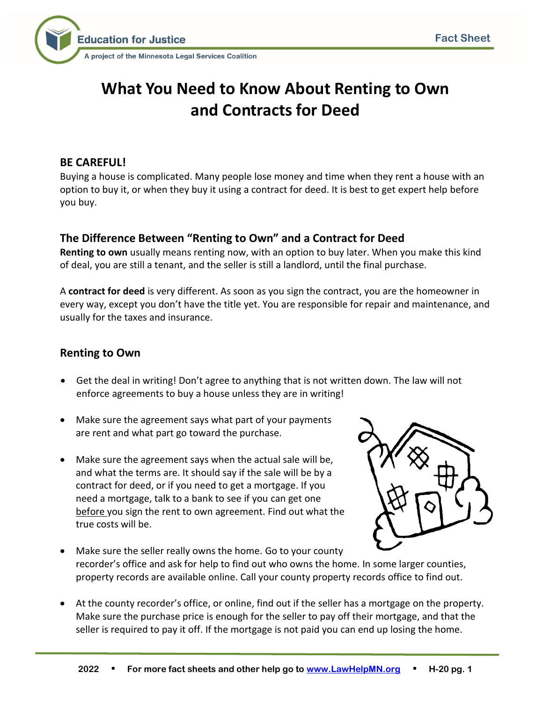



# **What You Need to Know About Renting to Own and Contracts for Deed**

#### **BE CAREFUL!**

Buying a house is complicated. Many people lose money and time when they rent a house with an option to buy it, or when they buy it using a contract for deed. It is best to get expert help before you buy.

## **The Difference Between "Renting to Own" and a Contract for Deed**

**Renting to own** usually means renting now, with an option to buy later. When you make this kind of deal, you are still a tenant, and the seller is still a landlord, until the final purchase.

A **contract for deed** is very different. As soon as you sign the contract, you are the homeowner in every way, except you don't have the title yet. You are responsible for repair and maintenance, and usually for the taxes and insurance.

# **Renting to Own**

- Get the deal in writing! Don't agree to anything that is not written down. The law will not enforce agreements to buy a house unless they are in writing!
- Make sure the agreement says what part of your payments are rent and what part go toward the purchase.
- Make sure the agreement says when the actual sale will be, and what the terms are. It should say if the sale will be by a contract for deed, or if you need to get a mortgage. If you need a mortgage, talk to a bank to see if you can get one before you sign the rent to own agreement. Find out what the true costs will be.



- Make sure the seller really owns the home. Go to your county recorder's office and ask for help to find out who owns the home. In some larger counties, property records are available online. Call your county property records office to find out.
- At the county recorder's office, or online, find out if the seller has a mortgage on the property. Make sure the purchase price is enough for the seller to pay off their mortgage, and that the seller is required to pay it off. If the mortgage is not paid you can end up losing the home.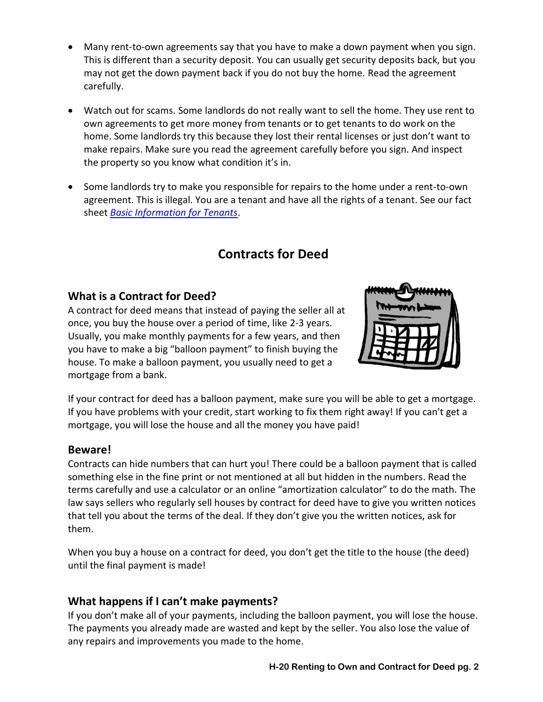- Many rent-to-own agreements say that you have to make a down payment when you sign. This is different than a security deposit. You can usually get security deposits back, but you may not get the down payment back if you do not buy the home. Read the agreement carefully.
- Watch out for scams. Some landlords do not really want to sell the home. They use rent to own agreements to get more money from tenants or to get tenants to do work on the home. Some landlords try this because they lost their rental licenses or just don't want to make repairs. Make sure you read the agreement carefully before you sign. And inspect the property so you know what condition it's in.
- Some landlords try to make you responsible for repairs to the home under a rent-to-own agreement. This is illegal. You are a tenant and have all the rights of a tenant. See our fact sheet *[Basic Information for Tenants](http://www.lawhelpmn.org/self-help-library/fact-sheet/basic-information-tenants)*.

# **Contracts for Deed**

# **What is a Contract for Deed?**

A contract for deed means that instead of paying the seller all at once, you buy the house over a period of time, like 2-3 years. Usually, you make monthly payments for a few years, and then you have to make a big "balloon payment" to finish buying the house. To make a balloon payment, you usually need to get a mortgage from a bank.



If your contract for deed has a balloon payment, make sure you will be able to get a mortgage. If you have problems with your credit, start working to fix them right away! If you can't get a mortgage, you will lose the house and all the money you have paid!

# **Beware!**

Contracts can hide numbers that can hurt you! There could be a balloon payment that is called something else in the fine print or not mentioned at all but hidden in the numbers. Read the terms carefully and use a calculator or an online "amortization calculator" to do the math. The law says sellers who regularly sell houses by contract for deed have to give you written notices that tell you about the terms of the deal. If they don't give you the written notices, ask for them.

When you buy a house on a contract for deed, you don't get the title to the house (the deed) until the final payment is made!

# **What happens if I can't make payments?**

If you don't make all of your payments, including the balloon payment, you will lose the house. The payments you already made are wasted and kept by the seller. You also lose the value of any repairs and improvements you made to the home.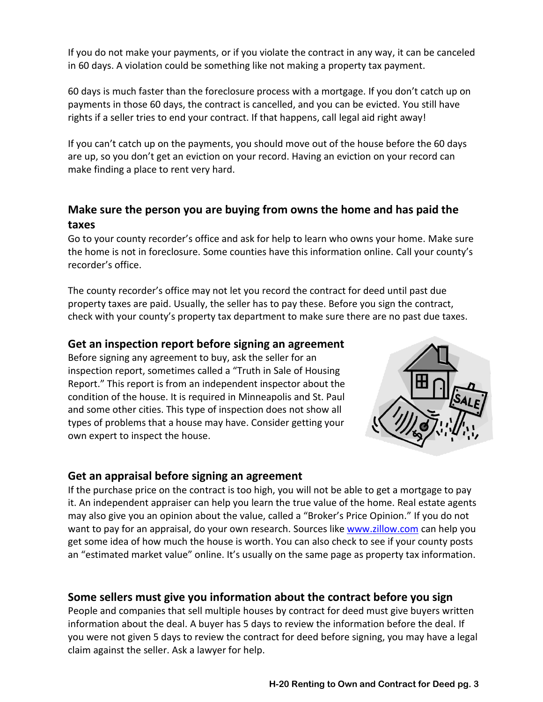If you do not make your payments, or if you violate the contract in any way, it can be canceled in 60 days. A violation could be something like not making a property tax payment.

60 days is much faster than the foreclosure process with a mortgage. If you don't catch up on payments in those 60 days, the contract is cancelled, and you can be evicted. You still have rights if a seller tries to end your contract. If that happens, call legal aid right away!

If you can't catch up on the payments, you should move out of the house before the 60 days are up, so you don't get an eviction on your record. Having an eviction on your record can make finding a place to rent very hard.

# **Make sure the person you are buying from owns the home and has paid the taxes**

Go to your county recorder's office and ask for help to learn who owns your home. Make sure the home is not in foreclosure. Some counties have this information online. Call your county's recorder's office.

The county recorder's office may not let you record the contract for deed until past due property taxes are paid. Usually, the seller has to pay these. Before you sign the contract, check with your county's property tax department to make sure there are no past due taxes.

#### **Get an inspection report before signing an agreement**

Before signing any agreement to buy, ask the seller for an inspection report, sometimes called a "Truth in Sale of Housing Report." This report is from an independent inspector about the condition of the house. It is required in Minneapolis and St. Paul and some other cities. This type of inspection does not show all types of problems that a house may have. Consider getting your own expert to inspect the house.



#### **Get an appraisal before signing an agreement**

If the purchase price on the contract is too high, you will not be able to get a mortgage to pay it. An independent appraiser can help you learn the true value of the home. Real estate agents may also give you an opinion about the value, called a "Broker's Price Opinion." If you do not want to pay for an appraisal, do your own research. Sources like [www.zillow.com](http://www.zillow.com/) can help you get some idea of how much the house is worth. You can also check to see if your county posts an "estimated market value" online. It's usually on the same page as property tax information.

# **Some sellers must give you information about the contract before you sign**

People and companies that sell multiple houses by contract for deed must give buyers written information about the deal. A buyer has 5 days to review the information before the deal. If you were not given 5 days to review the contract for deed before signing, you may have a legal claim against the seller. Ask a lawyer for help.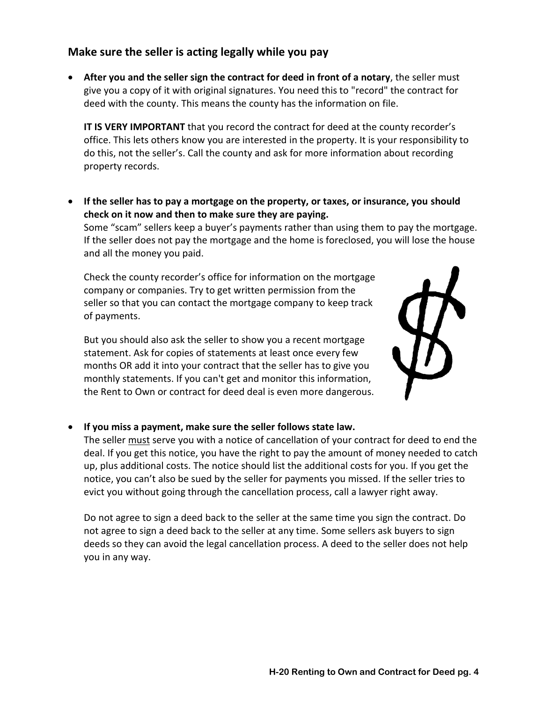#### **Make sure the seller is acting legally while you pay**

• **After you and the seller sign the contract for deed in front of a notary**, the seller must give you a copy of it with original signatures. You need this to "record" the contract for deed with the county. This means the county has the information on file.

**IT IS VERY IMPORTANT** that you record the contract for deed at the county recorder's office. This lets others know you are interested in the property. It is your responsibility to do this, not the seller's. Call the county and ask for more information about recording property records.

• **If the seller has to pay a mortgage on the property, or taxes, or insurance, you should check on it now and then to make sure they are paying.**

Some "scam" sellers keep a buyer's payments rather than using them to pay the mortgage. If the seller does not pay the mortgage and the home is foreclosed, you will lose the house and all the money you paid.

Check the county recorder's office for information on the mortgage company or companies. Try to get written permission from the seller so that you can contact the mortgage company to keep track of payments.

But you should also ask the seller to show you a recent mortgage statement. Ask for copies of statements at least once every few months OR add it into your contract that the seller has to give you monthly statements. If you can't get and monitor this information, the Rent to Own or contract for deed deal is even more dangerous.



#### • **If you miss a payment, make sure the seller follows state law.**

The seller must serve you with a notice of cancellation of your contract for deed to end the deal. If you get this notice, you have the right to pay the amount of money needed to catch up, plus additional costs. The notice should list the additional costs for you. If you get the notice, you can't also be sued by the seller for payments you missed. If the seller tries to evict you without going through the cancellation process, call a lawyer right away.

Do not agree to sign a deed back to the seller at the same time you sign the contract. Do not agree to sign a deed back to the seller at any time. Some sellers ask buyers to sign deeds so they can avoid the legal cancellation process. A deed to the seller does not help you in any way.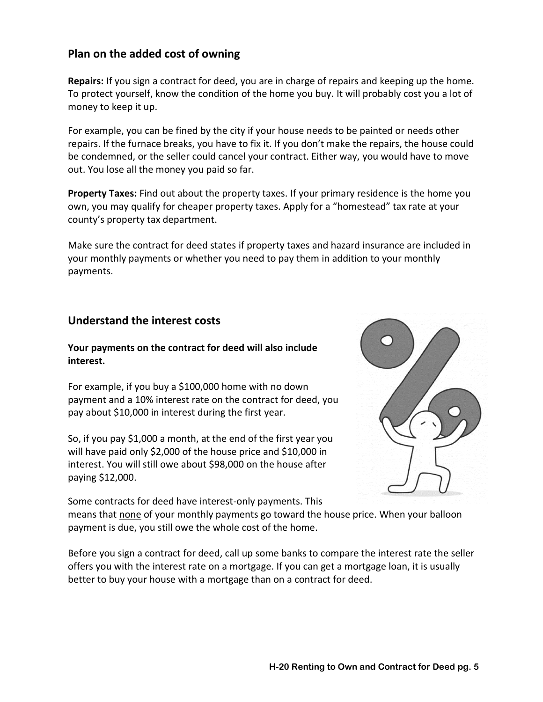### **Plan on the added cost of owning**

**Repairs:** If you sign a contract for deed, you are in charge of repairs and keeping up the home. To protect yourself, know the condition of the home you buy. It will probably cost you a lot of money to keep it up.

For example, you can be fined by the city if your house needs to be painted or needs other repairs. If the furnace breaks, you have to fix it. If you don't make the repairs, the house could be condemned, or the seller could cancel your contract. Either way, you would have to move out. You lose all the money you paid so far.

**Property Taxes:** Find out about the property taxes. If your primary residence is the home you own, you may qualify for cheaper property taxes. Apply for a "homestead" tax rate at your county's property tax department.

Make sure the contract for deed states if property taxes and hazard insurance are included in your monthly payments or whether you need to pay them in addition to your monthly payments.

#### **Understand the interest costs**

#### **Your payments on the contract for deed will also include interest.**

For example, if you buy a \$100,000 home with no down payment and a 10% interest rate on the contract for deed, you pay about \$10,000 in interest during the first year.

So, if you pay \$1,000 a month, at the end of the first year you will have paid only \$2,000 of the house price and \$10,000 in interest. You will still owe about \$98,000 on the house after paying \$12,000.



Some contracts for deed have interest-only payments. This means that none of your monthly payments go toward the house price. When your balloon payment is due, you still owe the whole cost of the home.

Before you sign a contract for deed, call up some banks to compare the interest rate the seller offers you with the interest rate on a mortgage. If you can get a mortgage loan, it is usually better to buy your house with a mortgage than on a contract for deed.